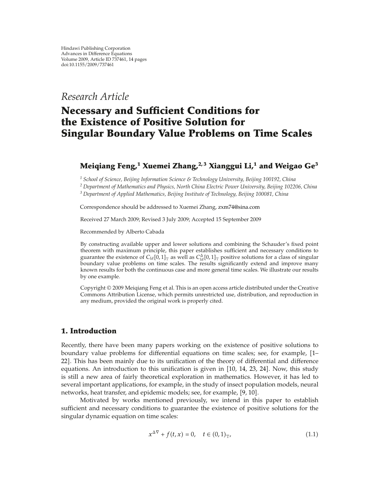*Research Article*

# **Necessary and Sufficient Conditions for the Existence of Positive Solution for Singular Boundary Value Problems on Time Scales**

### **Meiqiang Feng,1 Xuemei Zhang,2, 3 Xianggui Li,<sup>1</sup> and Weigao Ge3**

*<sup>1</sup> School of Science, Beijing Information Science & Technology University, Beijing 100192, China*

*<sup>2</sup> Department of Mathematics and Physics, North China Electric Power University, Beijing 102206, China*

*<sup>3</sup> Department of Applied Mathematics, Beijing Institute of Technology, Beijing 100081, China*

Correspondence should be addressed to Xuemei Zhang, zxm74@sina.com

Received 27 March 2009; Revised 3 July 2009; Accepted 15 September 2009

Recommended by Alberto Cabada

By constructing available upper and lower solutions and combining the Schauder's fixed point theorem with maximum principle, this paper establishes sufficient and necessary conditions to guarantee the existence of  $C_{ld}$  [0, 1]<sub>T</sub> as well as  $C_{ld}^{\Delta}$ [0, 1]<sub>T</sub> positive solutions for a class of singular boundary value problems on time scales. The results significantly extend and improve many known results for both the continuous case and more general time scales. We illustrate our results by one example.

Copyright © 2009 Meiqiang Feng et al. This is an open access article distributed under the Creative Commons Attribution License, which permits unrestricted use, distribution, and reproduction in any medium, provided the original work is properly cited.

### **1. Introduction**

Recently, there have been many papers working on the existence of positive solutions to boundary value problems for differential equations on time scales; see, for example, 1– 22]. This has been mainly due to its unification of the theory of differential and difference equations. An introduction to this unification is given in  $[10, 14, 23, 24]$ . Now, this study is still a new area of fairly theoretical exploration in mathematics. However, it has led to several important applications, for example, in the study of insect population models, neural networks, heat transfer, and epidemic models; see, for example, [9, 10].

Motivated by works mentioned previously, we intend in this paper to establish sufficient and necessary conditions to guarantee the existence of positive solutions for the singular dynamic equation on time scales:

$$
x^{\Delta \nabla} + f(t, x) = 0, \quad t \in (0, 1)_{\mathbb{T}},
$$
\n(1.1)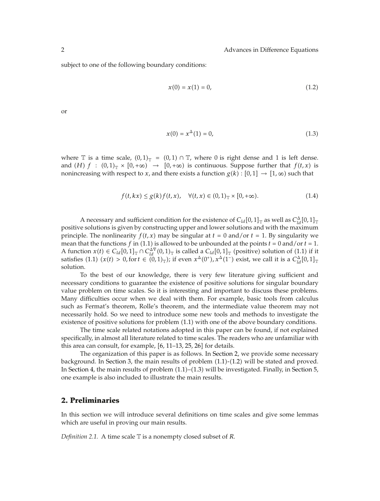subject to one of the following boundary conditions:

$$
x(0) = x(1) = 0,\t(1.2)
$$

or

$$
x(0) = x^{\Delta}(1) = 0,\t(1.3)
$$

where  $\mathbb T$  is a time scale,  $(0,1)_{\mathbb T} = (0,1) \cap \mathbb T$ , where 0 is right dense and 1 is left dense. and  $(H)$   $f : (0,1)_{\mathbb{T}} \times [0,+\infty) \rightarrow [0,+\infty)$  is continuous. Suppose further that  $f(t,x)$  is nonincreasing with respect to *x*, and there exists a function  $g(k) : [0,1] \rightarrow [1,\infty)$  such that

$$
f(t, kx) \le g(k)f(t, x), \quad \forall (t, x) \in (0, 1)_{\mathbb{T}} \times [0, +\infty).
$$
 (1.4)

A necessary and sufficient condition for the existence of  $C_{ld}[0,1]_{\mathbb{T}}$  as well as  $C_{ld}^{\Delta}[0,1]_{\mathbb{T}}$ positive solutions is given by constructing upper and lower solutions and with the maximum principle. The nonlinearity  $f(t, x)$  may be singular at  $t = 0$  and/or  $t = 1$ . By singularity we mean that the functions  $f$  in (1.1) is allowed to be unbounded at the points  $t = 0$  and/or  $t = 1$ . A function  $x(t) \in C_{ld}[0,1]_{\mathbb{T}} \cap C_{ld}^{\Delta \nabla}(0,1)_{\mathbb{T}}$  is called a  $C_{ld}[0,1]_{\mathbb{T}}$  (positive) solution of (1.1) if it satisfies  $(1.1)$   $(x(t) > 0$ , for  $t \in (0,1)$ <sub>T</sub>); if even  $x^{\Delta}(0^+)$ ,  $x^{\Delta}(1^-)$  exist, we call it is a  $C_{ld}^{\Delta}[0,1]$ <sub>T</sub> solution.

To the best of our knowledge, there is very few literature giving sufficient and necessary conditions to guarantee the existence of positive solutions for singular boundary value problem on time scales. So it is interesting and important to discuss these problems. Many difficulties occur when we deal with them. For example, basic tools from calculus such as Fermat's theorem, Rolle's theorem, and the intermediate value theorem may not necessarily hold. So we need to introduce some new tools and methods to investigate the existence of positive solutions for problem  $(1.1)$  with one of the above boundary conditions.

The time scale related notations adopted in this paper can be found, if not explained specifically, in almost all literature related to time scales. The readers who are unfamiliar with this area can consult, for example,  $[6, 11–13, 25, 26]$  for details.

The organization of this paper is as follows. In Section 2, we provide some necessary background. In Section 3, the main results of problem  $(1.1)-(1.2)$  will be stated and proved. In Section 4, the main results of problem  $(1.1)$ – $(1.3)$  will be investigated. Finally, in Section 5, one example is also included to illustrate the main results.

### **2. Preliminaries**

In this section we will introduce several definitions on time scales and give some lemmas which are useful in proving our main results.

*Definition 2.1.* A time scale T is a nonempty closed subset of *R*.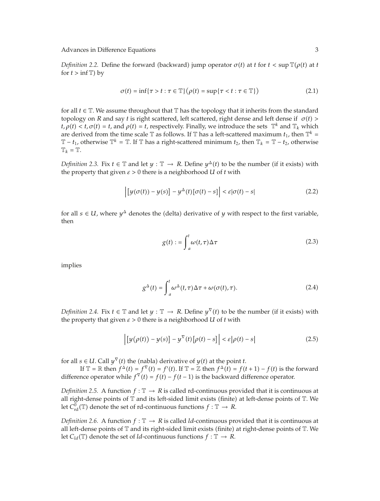*Definition 2.2.* Define the forward (backward) jump operator  $\sigma(t)$  at t for  $t < \sup \mathbb{T}(\rho(t))$  at t for  $t > \inf \mathbb{T}$  by

$$
\sigma(t) = \inf\{\tau > t : \tau \in \mathbb{T}\} \big(\rho(t) = \sup\{\tau < t : \tau \in \mathbb{T}\}\big) \tag{2.1}
$$

for all  $t \in \mathbb{T}$ . We assume throughout that  $\mathbb{T}$  has the topology that it inherits from the standard topology on *R* and say *t* is right scattered, left scattered, right dense and left dense if  $\sigma(t)$  >  $t, \rho(t) < t, \sigma(t) = t$ , and  $\rho(t) = t$ , respectively. Finally, we introduce the sets  $\mathbb{T}^k$  and  $\mathbb{T}_k$  which are derived from the time scale  $\mathbb T$  as follows. If  $\mathbb T$  has a left-scattered maximum  $t_1$ , then  $\mathbb T^k$  =  $\mathbb{T}$  − *t*<sub>1</sub>, otherwise  $\mathbb{T}^k = \mathbb{T}$ . If  $\mathbb{T}$  has a right-scattered minimum *t*<sub>2</sub>, then  $\mathbb{T}_k = \mathbb{T} - t_2$ , otherwise  $\mathbb{T}_k = \mathbb{T}$ .

*Definition 2.3.* Fix  $t \in \mathbb{T}$  and let  $y : \mathbb{T} \to R$ . Define  $y^{\Delta}(t)$  to be the number (if it exists) with the property that given  $\varepsilon > 0$  there is a neighborhood *U* of *t* with

$$
\left| \left[ y(\sigma(t)) - y(s) \right] - y^{\Delta}(t) [\sigma(t) - s] \right| < \varepsilon |\sigma(t) - s| \tag{2.2}
$$

for all  $s \in U$ , where  $\gamma^{\Delta}$  denotes the (delta) derivative of *y* with respect to the first variable, then

$$
g(t) := \int_{a}^{t} \omega(t, \tau) \Delta \tau
$$
 (2.3)

implies

$$
g^{\Delta}(t) = \int_{a}^{t} \omega^{\Delta}(t, \tau) \Delta \tau + \omega(\sigma(t), \tau). \tag{2.4}
$$

*Definition 2.4.* Fix  $t \in \mathbb{T}$  and let  $y : \mathbb{T} \to R$ . Define  $y^{\nabla}(t)$  to be the number (if it exists) with the property that given  $\varepsilon > 0$  there is a neighborhood *U* of *t* with

$$
\left| \left[ y(\rho(t)) - y(s) \right] - y^{\nabla}(t) \left[ \rho(t) - s \right] \right| < \varepsilon \left| \rho(t) - s \right| \tag{2.5}
$$

for all  $s \in U$ . Call  $y^{\nabla}(t)$  the (nabla) derivative of  $y(t)$  at the point *t*.

If  $\mathbb{T} = \mathbb{R}$  then  $f^{\Delta}(t) = f^{\nabla}(t) = f'(t)$ . If  $\mathbb{T} = \mathbb{Z}$  then  $f^{\Delta}(\tilde{t}) = f(t+1) - f(t)$  is the forward difference operator while  $f^V(t) = f(t) - f(t-1)$  is the backward difference operator.

*Definition 2.5.* A function  $f : \mathbb{T} \to R$  is called rd-continuous provided that it is continuous at all right-dense points of  $\mathbb T$  and its left-sided limit exists (finite) at left-dense points of  $\mathbb T$ . We let  $C_{\text{rd}}^0(\mathbb{T})$  denote the set of rd-continuous functions  $f : \mathbb{T} \to R$ .

*Definition 2.6.* A function  $f : \mathbb{T} \to R$  is called *ld*-continuous provided that it is continuous at all left-dense points of  $\mathbb T$  and its right-sided limit exists (finite) at right-dense points of  $\mathbb T$ . We let  $C_{ld}(\mathbb{T})$  denote the set of *ld*-continuous functions  $f : \mathbb{T} \to R$ .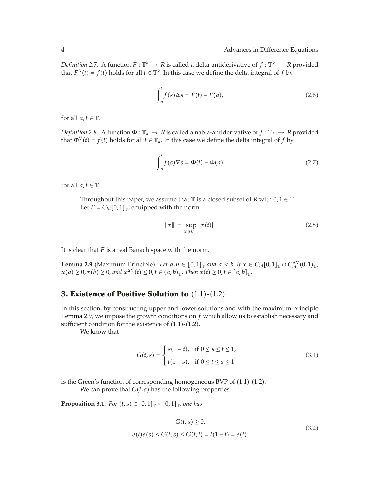*Definition 2.7.* A function  $F: \mathbb{T}^k \to R$  is called a delta-antiderivative of  $f: \mathbb{T}^k \to R$  provided that  $F^{\Delta}(t) = f(t)$  holds for all  $t \in \mathbb{T}^{k}$ . In this case we define the delta integral of *f* by

$$
\int_{a}^{t} f(s) \Delta s = F(t) - F(a), \qquad (2.6)
$$

for all  $a, t \in \mathbb{T}$ .

*Definition 2.8.* A function  $\Phi : \mathbb{T}_k \to R$  is called a nabla-antiderivative of  $f : \mathbb{T}_k \to R$  provided that  $\Phi^{\nabla}(t) = f(t)$  holds for all  $t \in \mathbb{T}_k$ . In this case we define the delta integral of *f* by

$$
\int_{a}^{t} f(s)\nabla s = \Phi(t) - \Phi(a)
$$
\n(2.7)

for all  $a, t \in \mathbb{T}$ .

Throughout this paper, we assume that  $\mathbb T$  is a closed subset of  $R$  with  $0, 1 \in \mathbb T$ . Let  $E = C_{ld}[0,1]_{\mathbb{T}}$ , equipped with the norm

$$
||x|| := \sup_{t \in [0,1]_{\mathbb{T}}} |x(t)|. \tag{2.8}
$$

It is clear that *E* is a real Banach space with the norm.

**Lemma 2.9** (Maximum Principle). Let  $a, b \in [0,1]$  *and*  $a < b$ . If  $x \in C_{ld}[0,1]$   $\cap C_{\text{Id}}^{\text{AV}}(0,1)$   $\cap$  $x(a) \ge 0, x(b) \ge 0$ , and  $x^{\Delta \nabla}(t) \le 0, t \in (a, b)$ <sub>T</sub>. Then  $x(t) \ge 0, t \in [a, b]$ <sub>T</sub>.

### **3. Existence of Positive Solution to**  $(1.1)$ - $(1.2)$

In this section, by constructing upper and lower solutions and with the maximum principle Lemma 2.9, we impose the growth conditions on *f* which allow us to establish necessary and sufficient condition for the existence of  $(1.1)$ - $(1.2)$ .

We know that

$$
G(t,s) = \begin{cases} s(1-t), & \text{if } 0 \le s \le t \le 1, \\ t(1-s), & \text{if } 0 \le t \le s \le 1 \end{cases}
$$
 (3.1)

is the Green's function of corresponding homogeneous BVP of  $(1.1)$ - $(1.2)$ .

We can prove that  $G(t, s)$  has the following properties.

**Proposition 3.1.** *For*  $(t, s) \in [0, 1]_{\mathbb{T}} \times [0, 1]_{\mathbb{T}}$ *, one has* 

$$
G(t,s) \ge 0,
$$
  
\n
$$
e(t)e(s) \le G(t,s) \le G(t,t) = t(1-t) = e(t).
$$
\n(3.2)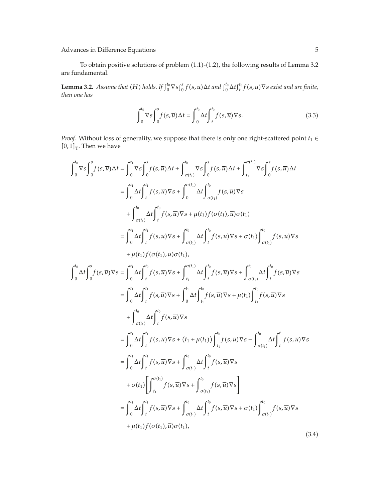To obtain positive solutions of problem  $(1.1)-(1.2)$ , the following results of Lemma 3.2 are fundamental.

**Lemma 3.2.** Assume that (H) holds. If  $\int_0^{t_0} \nabla s \int_0^s f(s, \overline{u}) \Delta t$  and  $\int_0^{t_0} \Delta t \int_t^{t_0} f(s, \overline{u}) \nabla s$  exist and are finite, *then one has*

$$
\int_0^{t_0} \nabla s \int_0^s f(s, \overline{u}) \Delta t = \int_0^{t_0} \Delta t \int_t^{t_0} f(s, \overline{u}) \nabla s. \tag{3.3}
$$

*Proof.* Without loss of generality, we suppose that there is only one right-scattered point  $t_1$  ∈  $[0,1]$ <sub>T</sub>. Then we have

$$
\int_{0}^{t_{0}} \nabla s \int_{0}^{s} f(s, \overline{u}) \Delta t = \int_{0}^{t_{1}} \nabla s \int_{0}^{s} f(s, \overline{u}) \Delta t + \int_{\sigma(t_{1})}^{t_{0}} \nabla s \int_{0}^{s} f(s, \overline{u}) \Delta t + \int_{t_{1}}^{\sigma(t_{1})} \nabla s \int_{0}^{s} f(s, \overline{u}) \Delta t
$$
\n
$$
= \int_{0}^{t_{1}} \Delta t \int_{t_{1}}^{t_{1}} f(s, \overline{u}) \nabla s + \int_{0}^{\sigma(t_{1})} \Delta t \int_{\sigma(t_{1})}^{t_{0}} f(s, \overline{u}) \nabla s
$$
\n
$$
+ \int_{\sigma(t_{1})}^{t_{0}} \Delta t \int_{t_{1}}^{t_{0}} f(s, \overline{u}) \nabla s + \mu(t_{1}) f(\sigma(t_{1}), \overline{u}) \sigma(t_{1})
$$
\n
$$
= \int_{0}^{t_{1}} \Delta t \int_{t_{1}}^{t_{1}} f(s, \overline{u}) \nabla s + \int_{\sigma(t_{1})}^{t_{0}} \Delta t \int_{t_{1}}^{t_{0}} f(s, \overline{u}) \nabla s + \sigma(t_{1}) \int_{\sigma(t_{1})}^{t_{0}} f(s, \overline{u}) \nabla s
$$
\n
$$
+ \mu(t_{1}) f(\sigma(t_{1}), \overline{u}) \sigma(t_{1}),
$$
\n
$$
\int_{0}^{t_{0}} \Delta t \int_{0}^{s} f(s, \overline{u}) \nabla s = \int_{0}^{t_{1}} \Delta t \int_{t_{1}}^{t_{1}} f(s, \overline{u}) \nabla s + \int_{t_{1}}^{t_{1}} \Delta t \int_{t_{1}}^{t_{0}} f(s, \overline{u}) \nabla s + \mu(t_{1}) \int_{t_{1}}^{t_{0}} f(s, \overline{u}) \nabla s
$$
\n
$$
= \int_{0}^{t_{1}} \Delta t \int_{t_{1}}^{t_{1}} f(s, \overline{u}) \nabla s
$$
\n
$$
= \int_{0}^{t_{1}} \Delta t \int_{t_{1}}^{t_{1}} f(s, \overline{u}) \nabla s + (t_{
$$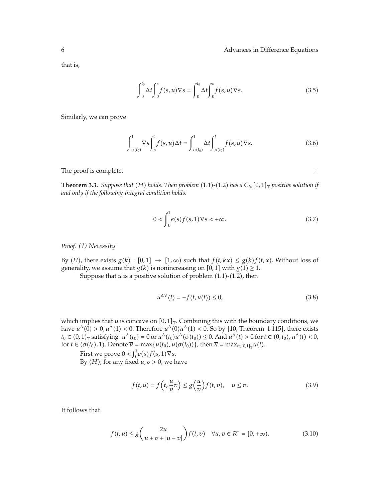$\Box$ 

that is,

$$
\int_0^{t_0} \Delta t \int_0^s f(s, \overline{u}) \nabla s = \int_0^{t_0} \Delta t \int_0^s f(s, \overline{u}) \nabla s. \tag{3.5}
$$

Similarly, we can prove

$$
\int_{\sigma(t_0)}^1 \nabla s \int_s^1 f(s, \overline{u}) \Delta t = \int_{\sigma(t_0)}^1 \Delta t \int_{\sigma(t_0)}^t f(s, \overline{u}) \nabla s. \tag{3.6}
$$

The proof is complete.

**Theorem 3.3.** *Suppose that* (*H*) *holds. Then problem* (1.1)-(1.2) *has a*  $C_{ld}[0,1]$ <sub>T</sub> positive solution if *and only if the following integral condition holds:*

$$
0 < \int_0^1 e(s)f(s,1)\nabla s < +\infty. \tag{3.7}
$$

*Proof. (1) Necessity*

By *(H)*, there exists  $g(k) : [0,1] \rightarrow [1,\infty)$  such that  $f(t, kx) \leq g(k)f(t, x)$ . Without loss of generality, we assume that  $g(k)$  is nonincreasing on [0,1] with  $g(1) \geq 1$ .

Suppose that  $u$  is a positive solution of problem  $(1.1)-(1.2)$ , then

$$
u^{\Delta \nabla}(t) = -f(t, u(t)) \le 0,
$$
\n(3.8)

which implies that  $u$  is concave on  $[0,1]$ <sub>T</sub>. Combining this with the boundary conditions, we have  $u^{\Delta}(0) > 0$ ,  $u^{\Delta}(1) < 0$ . Therefore  $u^{\Delta}(0)u^{\Delta}(1) < 0$ . So by [10, Theorem 1.115], there exists  $t_0 \in (0,1)$ <sub>T</sub> satisfying  $u^{\Delta}(t_0) = 0$  or  $u^{\Delta}(t_0)u^{\Delta}(\sigma(t_0)) \le 0$ . And  $u^{\Delta}(t) > 0$  for  $t \in (0,t_0)$ ,  $u^{\Delta}(t) < 0$ , for  $t \in (\sigma(t_0), 1)$ . Denote  $\overline{u} = \max\{u(t_0), u(\sigma(t_0))\}$ , then  $\overline{u} = \max_{t \in [0,1]_{\mathbb{T}}} u(t)$ .

First we prove  $0 < \int_0^1 e(s) f(s, 1) \nabla s$ .

By  $(H)$ , for any fixed  $u, v > 0$ , we have

$$
f(t, u) = f\left(t, \frac{u}{v}v\right) \le g\left(\frac{u}{v}\right) f(t, v), \quad u \le v. \tag{3.9}
$$

It follows that

$$
f(t, u) \le g\left(\frac{2u}{u + v + |u - v|}\right) f(t, v) \quad \forall u, v \in R^+ = [0, +\infty).
$$
 (3.10)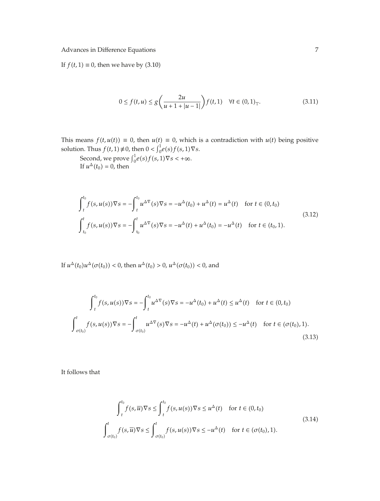If  $f(t, 1) \equiv 0$ , then we have by (3.10)

$$
0 \le f(t, u) \le g\left(\frac{2u}{u + 1 + |u - 1|}\right) f(t, 1) \quad \forall t \in (0, 1)_{\mathbb{T}}.\tag{3.11}
$$

This means  $f(t, u(t)) \equiv 0$ , then  $u(t) \equiv 0$ , which is a contradiction with  $u(t)$  being positive solution. Thus *f(t,* 1*)*  $\neq$  0*,* then  $0 < \int_0^1 e(s) f(s, 1) \nabla s$ .

Second, we prove  $\int_0^1 e(s) f(s, 1) \nabla s < +\infty$ . If  $u^{\Delta}(t_0) = 0$ , then

$$
\int_{t}^{t_{0}} f(s, u(s)) \nabla s = -\int_{t}^{t_{0}} u^{\Delta \nabla}(s) \nabla s = -u^{\Delta}(t_{0}) + u^{\Delta}(t) = u^{\Delta}(t) \quad \text{for } t \in (0, t_{0})
$$
\n
$$
\int_{t_{0}}^{t} f(s, u(s)) \nabla s = -\int_{t_{0}}^{t} u^{\Delta \nabla}(s) \nabla s = -u^{\Delta}(t) + u^{\Delta}(t_{0}) = -u^{\Delta}(t) \quad \text{for } t \in (t_{0}, 1).
$$
\n(3.12)

If  $u^{\Delta}(t_0)u^{\Delta}(\sigma(t_0)) < 0$ , then  $u^{\Delta}(t_0) > 0$ ,  $u^{\Delta}(\sigma(t_0)) < 0$ , and

$$
\int_{t}^{t_{0}} f(s, u(s)) \nabla s = -\int_{t}^{t_{0}} u^{\Delta} \nabla(s) \nabla s = -u^{\Delta}(t_{0}) + u^{\Delta}(t) \le u^{\Delta}(t) \quad \text{for } t \in (0, t_{0})
$$
\n
$$
\int_{\sigma(t_{0})}^{t} f(s, u(s)) \nabla s = -\int_{\sigma(t_{0})}^{t} u^{\Delta} \nabla(s) \nabla s = -u^{\Delta}(t) + u^{\Delta}(\sigma(t_{0})) \le -u^{\Delta}(t) \quad \text{for } t \in (\sigma(t_{0}), 1).
$$
\n(3.13)

It follows that

$$
\int_{t}^{t_{0}} f(s,\overline{u}) \nabla s \leq \int_{t}^{t_{0}} f(s,u(s)) \nabla s \leq u^{\Delta}(t) \quad \text{for } t \in (0,t_{0})
$$
\n
$$
\int_{\sigma(t_{0})}^{t} f(s,\overline{u}) \nabla s \leq \int_{\sigma(t_{0})}^{t} f(s,u(s)) \nabla s \leq -u^{\Delta}(t) \quad \text{for } t \in (\sigma(t_{0}),1).
$$
\n(3.14)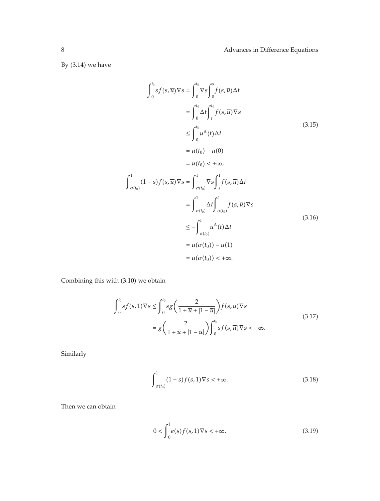By  $(3.14)$  we have

$$
\int_{0}^{t_{0}} sf(s,\overline{u}) \nabla s = \int_{0}^{t_{0}} \nabla s \int_{0}^{s} f(s,\overline{u}) \Delta t
$$
\n
$$
= \int_{0}^{t_{0}} \Delta t \int_{t}^{t_{0}} f(s,\overline{u}) \nabla s
$$
\n
$$
\leq \int_{0}^{t_{0}} u^{\Delta}(t) \Delta t
$$
\n
$$
= u(t_{0}) - u(0)
$$
\n
$$
= u(t_{0}) < +\infty,
$$
\n
$$
\int_{\sigma(t_{0})}^{1} (1-s) f(s, \overline{u}) \nabla s = \int_{\sigma(t_{0})}^{1} \nabla s \int_{s}^{1} f(s, \overline{u}) \Delta t
$$
\n
$$
= \int_{\sigma(t_{0})}^{1} \Delta t \int_{\sigma(t_{0})}^{t} f(s, \overline{u}) \nabla s
$$
\n
$$
\leq - \int_{\sigma(t_{0})}^{1} u^{\Delta}(t) \Delta t
$$
\n
$$
= u(\sigma(t_{0})) - u(1)
$$
\n
$$
= u(\sigma(t_{0})) < +\infty.
$$
\n(3.16)

Combining this with  $(3.10)$  we obtain

$$
\int_0^{t_0} s f(s, 1) \nabla s \le \int_0^{t_0} s g\left(\frac{2}{1 + \overline{u} + |1 - \overline{u}|}\right) f(s, \overline{u}) \nabla s
$$
\n
$$
= g\left(\frac{2}{1 + \overline{u} + |1 - \overline{u}|}\right) \int_0^{t_0} s f(s, \overline{u}) \nabla s < +\infty.
$$
\n(3.17)

Similarly

$$
\int_{\sigma(t_0)}^1 (1-s)f(s,1)\nabla s < +\infty.
$$
\n(3.18)

Then we can obtain

$$
0 < \int_0^1 e(s)f(s,1)\nabla s < +\infty. \tag{3.19}
$$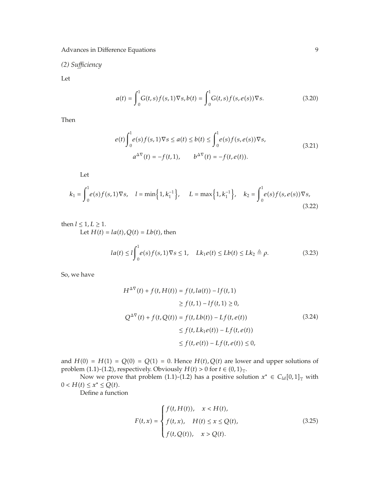*(2) Sufficiency*

Let

$$
a(t) = \int_0^1 G(t,s)f(s,1)\nabla s, b(t) = \int_0^1 G(t,s)f(s,e(s))\nabla s.
$$
 (3.20)

Then

$$
e(t)\int_{0}^{1} e(s)f(s,1)\nabla s \le a(t) \le b(t) \le \int_{0}^{1} e(s)f(s,e(s))\nabla s,
$$
  
\n
$$
a^{\Delta \nabla}(t) = -f(t,1), \qquad b^{\Delta \nabla}(t) = -f(t,e(t)).
$$
\n(3.21)

Let

$$
k_1 = \int_0^1 e(s)f(s,1)\nabla s, \quad l = \min\left\{1, k_1^{-1}\right\}, \quad L = \max\left\{1, k_1^{-1}\right\}, \quad k_2 = \int_0^1 e(s)f(s,e(s))\nabla s,
$$
\n(3.22)

then  $l \leq 1, L \geq 1$ . Let  $H(t) = la(t)$ ,  $Q(t) = Lb(t)$ , then

$$
la(t) \le l \int_0^1 e(s) f(s, 1) \nabla s \le 1, \quad Lk_1 e(t) \le Lb(t) \le Lk_2 \triangleq \rho.
$$
 (3.23)

So, we have

$$
H^{\Delta \nabla}(t) + f(t, H(t)) = f(t, la(t)) - l f(t, 1)
$$
  
\n
$$
\ge f(t, 1) - l f(t, 1) \ge 0,
$$
  
\n
$$
Q^{\Delta \nabla}(t) + f(t, Q(t)) = f(t, Lb(t)) - Lf(t, e(t))
$$
  
\n
$$
\le f(t, Lk_1 e(t)) - Lf(t, e(t))
$$
  
\n
$$
\le f(t, e(t)) - Lf(t, e(t)) \le 0,
$$
  
\n(3.24)

and  $H(0) = H(1) = Q(0) = Q(1) = 0$ . Hence  $H(t), Q(t)$  are lower and upper solutions of problem (1.1)-(1.2), respectively. Obviously  $H(t) > 0$  for  $t \in (0,1)$ <sub>T</sub>.

Now we prove that problem (1.1)-(1.2) has a positive solution  $x^* \in C_{ld}[0,1]_{\mathbb{T}}$  with  $0 < H(t) \leq x^* \leq Q(t).$ 

Define a function

$$
F(t,x) = \begin{cases} f(t, H(t)), & x < H(t), \\ f(t,x), & H(t) \le x \le Q(t), \\ f(t, Q(t)), & x > Q(t). \end{cases}
$$
(3.25)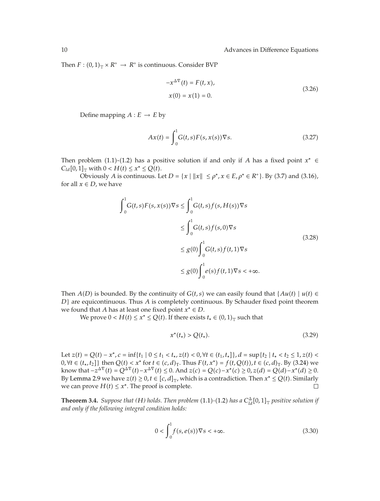Then  $F : (0,1)_{\mathbb{T}} \times R^+ \to R^+$  is continuous. Consider BVP

$$
-x^{\Delta \nabla}(t) = F(t, x),
$$
  
\n
$$
x(0) = x(1) = 0.
$$
\n(3.26)

Define mapping  $A : E \to E$  by

$$
Ax(t) = \int_0^1 G(t,s)F(s,x(s))\nabla s.
$$
\n(3.27)

Then problem (1.1)-(1.2) has a positive solution if and only if *A* has a fixed point  $x^* \in$  $C_{ld}[0,1]_{\text{T}}$  with  $0 < H(t) \leq x^* \leq Q(t)$ .

Obviously *A* is continuous. Let  $D = \{x \mid ||x|| \le \rho^*, x \in E, \rho^* \in R^+\}$ . By (3.7) and (3.16), for all  $x \in D$ , we have

$$
\int_0^1 G(t,s)F(s,x(s))\nabla s \le \int_0^1 G(t,s)f(s,H(s))\nabla s
$$
\n
$$
\le \int_0^1 G(t,s)f(s,0)\nabla s
$$
\n
$$
\le g(0)\int_0^1 G(t,s)f(t,1)\nabla s
$$
\n
$$
\le g(0)\int_0^1 e(s)f(t,1)\nabla s < +\infty.
$$
\n(3.28)

Then  $A(D)$  is bounded. By the continuity of  $G(t, s)$  we can easily found that  $\{Au(t) \mid u(t) \in$ *D*} are equicontinuous. Thus *A* is completely continuous. By Schauder fixed point theorem we found that *A* has at least one fixed point *x*<sup>∗</sup> ∈ *D*.

We prove  $0 < H(t) \le x^* \le Q(t)$ . If there exists  $t_* \in (0,1)$ <sub>T</sub> such that

$$
x^*(t_*) > Q(t_*). \tag{3.29}
$$

Let  $z(t) = Q(t) - x^*$ ,  $c = \inf\{t_1 \mid 0 \le t_1 < t_*, z(t) < 0, \forall t \in (t_1, t_*]\}, d = \sup\{t_2 \mid t_* < t_2 \le 1, z(t) < 1\}$ 0,  $\forall t \in (t_*, t_2]$ } then  $Q(t) < x^*$  for  $t \in (c, d)_T$ . Thus  $F(t, x^*) = f(t, Q(t)), t \in (c, d)_T$ . By (3.24) we  $\text{know that } -z^{\Delta \nabla}(t) = Q^{\Delta \nabla}(t) - x^{\Delta \nabla}(t) \leq 0. \text{ And } z(c) = Q(c) - x^*(c) \geq 0, z(d) = Q(d) - x^*(d) \geq 0.$ By Lemma 2.9 we have  $z(t) \geq 0, t \in [c, d]_{\mathbb{T}}$ , which is a contradiction. Then  $x^* \leq Q(t)$ . Similarly we can prove  $H(t) \leq x^*$ . The proof is complete.

**Theorem 3.4.** *Suppose that* (*H*) *holds. Then problem* (1.1)-(1.2) *has a*  $C_{ld}^{\Delta}[0,1]_{\mathbb{T}}$  *positive solution if and only if the following integral condition holds:*

$$
0 < \int_0^1 f(s, e(s)) \nabla s < +\infty. \tag{3.30}
$$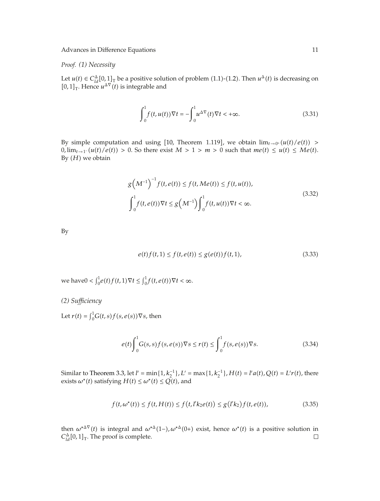*Proof. (1) Necessity*

Let  $u(t) \in C_{\text{ld}}^{\Delta}[0,1]$ <sub>T</sub> be a positive solution of problem (1.1)-(1.2). Then  $u^{\Delta}(t)$  is decreasing on  $[0,1]$ <sub>T</sub>. Hence  $u^{\Delta \nabla}(t)$  is integrable and

$$
\int_0^1 f(t, u(t)) \nabla t = -\int_0^1 u^{\Delta \nabla}(t) \nabla t < +\infty. \tag{3.31}
$$

By simple computation and using [10, Theorem 1.119], we obtain  $\lim_{t\to 0^+} (u(t)/e(t)) >$  $0, \lim_{t \to 1^-} (u(t)/e(t)) > 0$ . So there exist  $M > 1 > m > 0$  such that  $me(t) \leq u(t) \leq Me(t)$ . By  $(H)$  we obtain

$$
g\left(M^{-1}\right)^{-1} f(t, e(t)) \le f(t, Me(t)) \le f(t, u(t)),
$$
  

$$
\int_0^1 f(t, e(t)) \nabla t \le g\left(M^{-1}\right) \int_0^1 f(t, u(t)) \nabla t < \infty.
$$
 (3.32)

By

$$
e(t)f(t,1) \le f(t,e(t)) \le g(e(t))f(t,1),
$$
\n(3.33)

we have $0 < \int_0^1 e(t) f(t, 1) \nabla t \leq \int_0^1 f(t, e(t)) \nabla t < \infty$ .

*(2) Sufficiency*

Let  $r(t) = \int_0^1 G(t,s) f(s, e(s)) \nabla s$ , then

$$
e(t)\int_0^1 G(s,s)f(s,e(s))\nabla s \le r(t) \le \int_0^1 f(s,e(s))\nabla s. \tag{3.34}
$$

Similar to Theorem 3.3, let  $l' = \min\{1, k_2^{-1}\}, L' = \max\{1, k_2^{-1}\}, H(t) = l'a(t), Q(t) = L'r(t)$ , there exists  $\omega^*(t)$  satisfying  $H(t) \leq \omega^*(t) \leq Q(t)$ , and

$$
f(t, \omega^*(t)) \le f(t, H(t)) \le f(t, l'k_2e(t)) \le g(l'k_2)f(t, e(t)),
$$
\n(3.35)

then  $\omega^{*\Delta \nabla}(t)$  is integral and  $\omega^{*\Delta}(1-)$ ,  $\omega^{*\Delta}(0+)$  exist, hence  $\omega^{*}(t)$  is a positive solution in  $C_{\alpha}^{\Delta}[0,1]_{\text{T}}$ . The proof is complete.  $C_{ld}^{\Delta}[0,1]$ <sub>T</sub>. The proof is complete.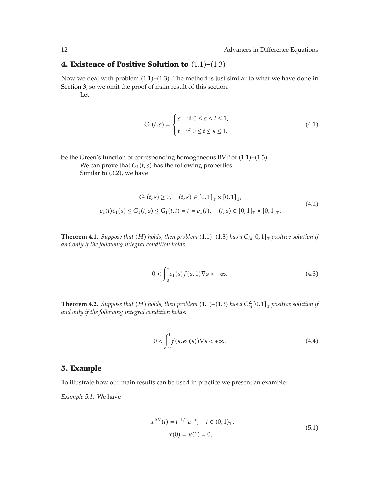## **4. Existence of Positive Solution to**  $(1.1)$ – $(1.3)$

Now we deal with problem  $(1.1)$ – $(1.3)$ . The method is just similar to what we have done in Section 3, so we omit the proof of main result of this section.

Let

$$
G_1(t,s) = \begin{cases} s & \text{if } 0 \le s \le t \le 1, \\ t & \text{if } 0 \le t \le s \le 1. \end{cases}
$$
 (4.1)

be the Green's function of corresponding homogeneous BVP of (1.1)-(1.3).

We can prove that  $G_1(t, s)$  has the following properties. Similar to  $(3.2)$ , we have

$$
G_1(t,s) \ge 0, \quad (t,s) \in [0,1]_{\mathbb{T}} \times [0,1]_{\mathbb{T}},
$$
  
\n
$$
e_1(t)e_1(s) \le G_1(t,s) \le G_1(t,t) = t = e_1(t), \quad (t,s) \in [0,1]_{\mathbb{T}} \times [0,1]_{\mathbb{T}}.
$$
\n
$$
(4.2)
$$

**Theorem 4.1.** *Suppose that* (*H*) *holds, then problem* (1.1)–(1.3) *has a*  $C_{ld}[0,1]$ <sub>T</sub> *positive solution if and only if the following integral condition holds:*

$$
0 < \int_{0}^{1} e_1(s) f(s, 1) \nabla s < +\infty. \tag{4.3}
$$

**Theorem 4.2.** *Suppose that*  $(H)$  *holds, then problem*  $(1.1)$ – $(1.3)$  *has a*  $C_{ld}^{\Delta}[0,1]_{\mathbb{T}}$  *positive solution if and only if the following integral condition holds:*

$$
0 < \int_{0}^{1} f(s, e_1(s)) \nabla s < +\infty. \tag{4.4}
$$

### **5. Example**

To illustrate how our main results can be used in practice we present an example.

*Example 5.1.* We have

$$
-x^{\Delta \nabla}(t) = t^{-1/2} e^{-x}, \quad t \in (0, 1)_{\mathbb{T}},
$$
  

$$
x(0) = x(1) = 0,
$$
 (5.1)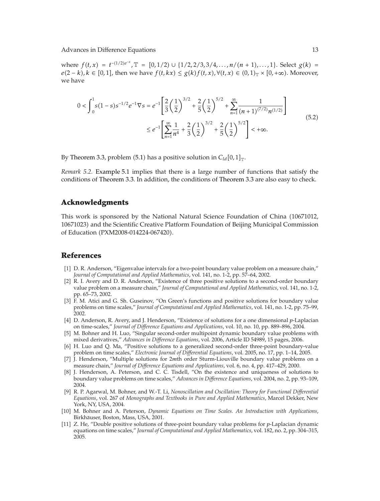where  $f(t, x) = t^{-(1/2)e^{-x}}$ ,  $\mathbb{T} = [0, 1/2) \cup \{1/2, 2/3, 3/4, ..., n/(n + 1), ..., 1\}$ . Select  $g(k)$ *e*(2 − *k*),  $k \in [0, 1]$ , then we have  $f(t, kx) \leq g(k) f(t, x)$ ,  $\forall (t, x) \in (0, 1)$ <sub>T</sub> × [0, +∞). Moreover, we have

$$
0 < \int_0^1 s(1-s)s^{-1/2}e^{-1}\nabla s = e^{-1}\left[\frac{2}{3}\left(\frac{1}{2}\right)^{3/2} + \frac{2}{5}\left(\frac{1}{2}\right)^{5/2} + \sum_{n=1}^\infty \frac{1}{(n+1)^{(7/2)}n^{(1/2)}}\right] \le e^{-1}\left[\sum_{n=1}^\infty \frac{1}{n^4} + \frac{2}{3}\left(\frac{1}{2}\right)^{3/2} + \frac{2}{5}\left(\frac{1}{2}\right)^{5/2}\right] < +\infty. \tag{5.2}
$$

By Theorem 3.3, problem (5.1) has a positive solution in  $C_{ld}[0,1]_{\mathbb{T}}$ .

*Remark 5.2.* Example 5.1 implies that there is a large number of functions that satisfy the conditions of Theorem 3.3. In addition, the conditions of Theorem 3.3 are also easy to check.

### **Acknowledgments**

This work is sponsored by the National Natural Science Foundation of China 10671012, 10671023) and the Scientific Creative Platform Foundation of Beijing Municipal Commission of Education (PXM2008-014224-067420).

### **References**

- 1 D. R. Anderson, "Eigenvalue intervals for a two-point boundary value problem on a measure chain," *Journal of Computational and Applied Mathematics*, vol. 141, no. 1-2, pp. 57–64, 2002.
- [2] R. I. Avery and D. R. Anderson, "Existence of three positive solutions to a second-order boundary value problem on a measure chain," *Journal of Computational and Applied Mathematics*, vol. 141, no. 1-2, pp. 65–73, 2002.
- [3] F. M. Atici and G. Sh. Guseinov, "On Green's functions and positive solutions for boundary value problems on time scales," *Journal of Computational and Applied Mathematics*, vol. 141, no. 1-2, pp. 75–99, 2002.
- 4 D. Anderson, R. Avery, and J. Henderson, "Existence of solutions for a one dimensional *p*-Laplacian on time-scales," *Journal of Difference Equations and Applications*, vol. 10, no. 10, pp. 889–896, 2004.
- [5] M. Bohner and H. Luo, "Singular second-order multipoint dynamic boundary value problems with mixed derivatives," *Advances in Difference Equations*, vol. 2006, Article ID 54989, 15 pages, 2006.
- [6] H. Luo and Q. Ma, "Positive solutions to a generalized second-order three-point boundary-value problem on time scales," *Electronic Journal of Differential Equations*, vol. 2005, no. 17, pp. 1–14, 2005.
- 7 J. Henderson, "Multiple solutions for 2*m*th order Sturm-Liouville boundary value problems on a measure chain," *Journal of Difference Equations and Applications*, vol. 6, no. 4, pp. 417–429, 2000.
- [8] J. Henderson, A. Peterson, and C. C. Tisdell, "On the existence and uniqueness of solutions to boundary value problems on time scales," *Advances in Difference Equations*, vol. 2004, no. 2, pp. 93–109, 2004.
- 9 R. P. Agarwal, M. Bohner, and W.-T. Li, *Nonoscillation and Oscillation: Theory for Functional Differential Equations*, vol. 267 of *Monographs and Textbooks in Pure and Applied Mathematics*, Marcel Dekker, New York, NY, USA, 2004.
- 10 M. Bohner and A. Peterson, *Dynamic Equations on Time Scales. An Introduction with Applications*, Birkhäuser, Boston, Mass, USA, 2001.
- 11 Z. He, "Double positive solutions of three-point boundary value problems for *p*-Laplacian dynamic equations on time scales," *Journal of Computational and Applied Mathematics*, vol. 182, no. 2, pp. 304–315, 2005.